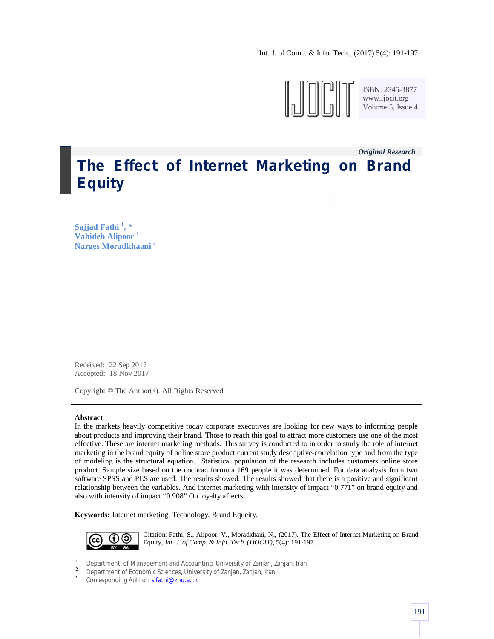Int. J. of Comp. & Info. Tech., (2017) 5(4): 191-197.



ISBN: 2345-3877 www.ijocit.org Volume 5, Issue 4

# *Original Research\_\_* **The Effect of Internet Marketing on Brand Equity**

**Sajjad Fathi <sup>1</sup> , \* Vahideh Alipoor <sup>1</sup> Narges Moradkhaani <sup>2</sup>**

Received: 22 Sep 2017 Accepted: 18 Nov 2017

Copyright © The Author(s). All Rights Reserved.

# **Abstract**

In the markets heavily competitive today corporate executives are looking for new ways to informing people about products and improving their brand. Those to reach this goal to attract more customers use one of the most effective. These are internet marketing methods. This survey is conducted to in order to study the role of internet marketing in the brand equity of online store product current study descriptive-correlation type and from the type of modeling is the structural equation. Statistical population of the research includes customers online store product. Sample size based on the cochran formula 169 people it was determined. For data analysis from two software SPSS and PLS are used. The results showed. The results showed that there is a positive and significant relationship between the variables. And internet marketing with intensity of impact "0.771" on brand equity and also with intensity of impact "0.908" On loyalty affects.

**Keywords:** Internet marketing, Technology, Brand Equeity.



Citation: Fathi, S., Alipoor, V., Moradkhani, N., (2017). The Effect of Internet Marketing on Brand Equity, *Int. J. of Comp. & Info. Tech. (IJOCIT)*, 5(4): 191-197.

1 Department of Management and Accounting, University of Zanjan, Zanjan, Iran

2 Department of Economic Sciences, University of Zanjan, Zanjan, Iran

\* Corresponding Author: s.fathi@znu.ac.ir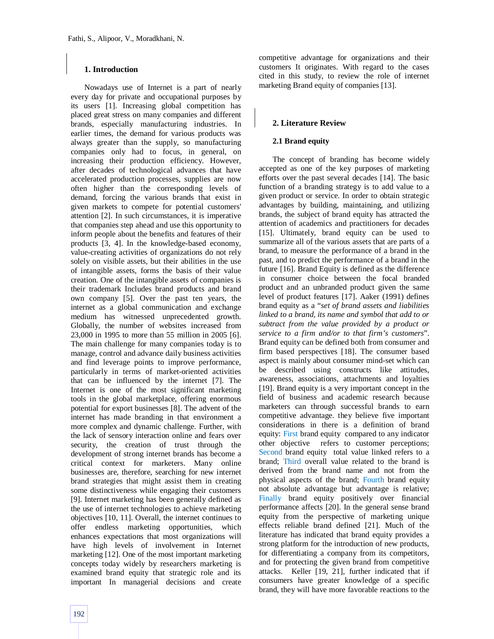# **1. Introduction**

Nowadays use of Internet is a part of nearly every day for private and occupational purposes by its users [1]. Increasing global competition has placed great stress on many companies and different brands, especially manufacturing industries. In earlier times, the demand for various products was always greater than the supply, so manufacturing companies only had to focus, in general, on increasing their production efficiency. However, after decades of technological advances that have accelerated production processes, supplies are now often higher than the corresponding levels of demand, forcing the various brands that exist in given markets to compete for potential customers' attention [2]. In such circumstances, it is imperative that companies step ahead and use this opportunity to inform people about the benefits and features of their products [3, 4]. In the knowledge-based economy, value-creating activities of organizations do not rely solely on visible assets, but their abilities in the use of intangible assets, forms the basis of their value creation. One of the intangible assets of companies is their trademark Includes brand products and brand own company [5]. Over the past ten years, the internet as a global communication and exchange medium has witnessed unprecedented growth. Globally, the number of websites increased from 23,000 in 1995 to more than 55 million in 2005 [6]. The main challenge for many companies today is to manage, control and advance daily business activities and find leverage points to improve performance, particularly in terms of market-oriented activities that can be influenced by the internet [7]. The Internet is one of the most significant marketing tools in the global marketplace, offering enormous potential for export businesses [8]. The advent of the internet has made branding in that environment a more complex and dynamic challenge. Further, with the lack of sensory interaction online and fears over security, the creation of trust through the development of strong internet brands has become a critical context for marketers. Many online businesses are, therefore, searching for new internet brand strategies that might assist them in creating some distinctiveness while engaging their customers [9]. Internet marketing has been generally defined as the use of internet technologies to achieve marketing objectives [10, 11]. Overall, the internet continues to offer endless marketing opportunities, which enhances expectations that most organizations will have high levels of involvement in Internet marketing [12]. One of the most important marketing concepts today widely by researchers marketing is examined brand equity that strategic role and its important In managerial decisions and create competitive advantage for organizations and their customers It originates. With regard to the cases cited in this study, to review the role of internet marketing Brand equity of companies [13].

### **2. Literature Review**

#### **2.1 Brand equity**

The concept of branding has become widely accepted as one of the key purposes of marketing efforts over the past several decades [14]. The basic function of a branding strategy is to add value to a given product or service. In order to obtain strategic advantages by building, maintaining, and utilizing brands, the subject of brand equity has attracted the attention of academics and practitioners for decades [15]. Ultimately, brand equity can be used to summarize all of the various assets that are parts of a brand, to measure the performance of a brand in the past, and to predict the performance of a brand in the future [16]. Brand Equity is defined as the difference in consumer choice between the focal branded product and an unbranded product given the same level of product features [17]. Aaker (1991) defines brand equity as a "*set of brand assets and liabilities linked to a brand, its name and symbol that add to or subtract from the value provided by a product or service to a firm and/or to that firm's customers*". Brand equity can be defined both from consumer and firm based perspectives [18]. The consumer based aspect is mainly about consumer mind-set which can be described using constructs like attitudes, awareness, associations, attachments and loyalties [19]. Brand equity is a very important concept in the field of business and academic research because marketers can through successful brands to earn competitive advantage. they believe five important considerations in there is a definition of brand equity: First brand equity compared to any indicator other objective refers to customer perceptions; Second brand equity total value linked refers to a brand; Third overall value related to the brand is derived from the brand name and not from the physical aspects of the brand; Fourth brand equity not absolute advantage but advantage is relative; Finally brand equity positively over financial performance affects [20]. In the general sense brand equity from the perspective of marketing unique effects reliable brand defined [21]. Much of the literature has indicated that brand equity provides a strong platform for the introduction of new products, for differentiating a company from its competitors, and for protecting the given brand from competitive attacks. Keller [19, 21], further indicated that if consumers have greater knowledge of a specific brand, they will have more favorable reactions to the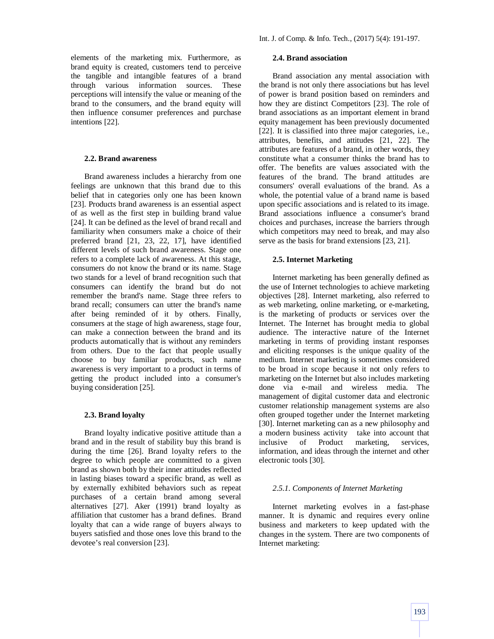elements of the marketing mix. Furthermore, as brand equity is created, customers tend to perceive the tangible and intangible features of a brand through various information sources. These perceptions will intensify the value or meaning of the brand to the consumers, and the brand equity will then influence consumer preferences and purchase intentions [22].

# **2.2. Brand awareness**

Brand awareness includes a hierarchy from one feelings are unknown that this brand due to this belief that in categories only one has been known [23]. Products brand awareness is an essential aspect of as well as the first step in building brand value [24]. It can be defined as the level of brand recall and familiarity when consumers make a choice of their preferred brand [21, 23, 22, 17], have identified different levels of such brand awareness. Stage one refers to a complete lack of awareness. At this stage, consumers do not know the brand or its name. Stage two stands for a level of brand recognition such that consumers can identify the brand but do not remember the brand's name. Stage three refers to brand recall; consumers can utter the brand's name after being reminded of it by others. Finally, consumers at the stage of high awareness, stage four, can make a connection between the brand and its products automatically that is without any reminders from others. Due to the fact that people usually choose to buy familiar products, such name awareness is very important to a product in terms of getting the product included into a consumer's buying consideration [25].

#### **2.3. Brand loyalty**

Brand loyalty indicative positive attitude than a brand and in the result of stability buy this brand is during the time [26]. Brand loyalty refers to the degree to which people are committed to a given brand as shown both by their inner attitudes reflected in lasting biases toward a specific brand, as well as by externally exhibited behaviors such as repeat purchases of a certain brand among several alternatives [27]. Aker (1991) brand loyalty as affiliation that customer has a brand defines. Brand loyalty that can a wide range of buyers always to buyers satisfied and those ones love this brand to the devotee's real conversion [23].

# **2.4. Brand association**

Brand association any mental association with the brand is not only there associations but has level of power is brand position based on reminders and how they are distinct Competitors [23]. The role of brand associations as an important element in brand equity management has been previously documented [22]. It is classified into three major categories, i.e., attributes, benefits, and attitudes [21, 22]. The attributes are features of a brand, in other words, they constitute what a consumer thinks the brand has to offer. The benefits are values associated with the features of the brand. The brand attitudes are consumers' overall evaluations of the brand. As a whole, the potential value of a brand name is based upon specific associations and is related to its image. Brand associations influence a consumer's brand choices and purchases, increase the barriers through which competitors may need to break, and may also serve as the basis for brand extensions [23, 21].

#### **2.5. Internet Marketing**

Internet marketing has been generally defined as the use of Internet technologies to achieve marketing objectives [28]. Internet marketing, also referred to as web marketing, online marketing, or e-marketing, is the marketing of products or services over the Internet. The Internet has brought media to global audience. The interactive nature of the Internet marketing in terms of providing instant responses and eliciting responses is the unique quality of the medium. Internet marketing is sometimes considered to be broad in scope because it not only refers to marketing on the Internet but also includes marketing done via e-mail and wireless media. The management of digital customer data and electronic customer relationship management systems are also often grouped together under the Internet marketing [30]. Internet marketing can as a new philosophy and a modern business activity take into account that inclusive of Product marketing, services, information, and ideas through the internet and other electronic tools [30].

#### *2.5.1. Components of Internet Marketing*

Internet marketing evolves in a fast-phase manner. It is dynamic and requires every online business and marketers to keep updated with the changes in the system. There are two components of Internet marketing: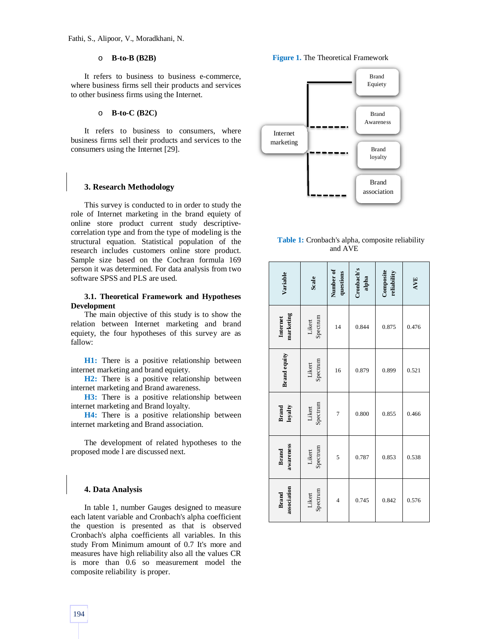Fathi, S., Alipoor, V., Moradkhani, N.

# o **B-to-B (B2B)**

It refers to business to business e-commerce, where business firms sell their products and services to other business firms using the Internet.

# o **B-to-C (B2C)**

It refers to business to consumers, where business firms sell their products and services to the consumers using the Internet [29].

#### **3. Research Methodology**

This survey is conducted to in order to study the role of Internet marketing in the brand equiety of online store product current study descriptivecorrelation type and from the type of modeling is the structural equation. Statistical population of the research includes customers online store product. Sample size based on the Cochran formula 169 person it was determined. For data analysis from two software SPSS and PLS are used.

# **3.1. Theoretical Framework and Hypotheses Development**

The main objective of this study is to show the relation between Internet marketing and brand equiety, the four hypotheses of this survey are as fallow:

**H1:** There is a positive relationship between internet marketing and brand equiety.

**H2:** There is a positive relationship between internet marketing and Brand awareness.

**H3:** There is a positive relationship between internet marketing and Brand loyalty.

**H4:** There is a positive relationship between internet marketing and Brand association.

The development of related hypotheses to the proposed mode l are discussed next.

#### **4. Data Analysis**

In table 1, number Gauges designed to measure each latent variable and Cronbach's alpha coefficient the question is presented as that is observed Cronbach's alpha coefficients all variables. In this study From Minimum amount of 0.7 It's more and measures have high reliability also all the values CR is more than 0.6 so measurement model the composite reliability is proper.





**Table 1:** Cronbach's alpha, composite reliability and AVE

| Variable                    | Scale                      | Number of<br>questions   | Cronbach's<br>alpha | Composite<br>reliability | AVE   |
|-----------------------------|----------------------------|--------------------------|---------------------|--------------------------|-------|
| marketing<br>Internet       | Spectrum<br>Likert         | 14                       | 0.844               | 0.875                    | 0.476 |
| <b>Brand equity</b>         | Spectrum<br>${\it Likert}$ | 16                       | 0.879               | 0.899                    | 0.521 |
| Brand<br>loyalty            | Spectrum<br>Likert         | $\overline{7}$           | 0.800               | 0.855                    | 0.466 |
| awareness<br><b>Brand</b>   | Spectrum<br>Likert         | 5                        | 0.787               | 0.853                    | 0.538 |
| association<br><b>Brand</b> | Spectrum<br>Likert         | $\overline{\mathcal{L}}$ | 0.745               | 0.842                    | 0.576 |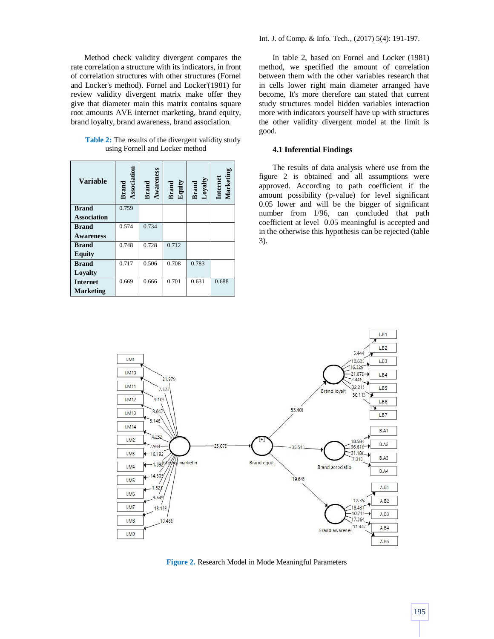Method check validity divergent compares the rate correlation a structure with its indicators, in front of correlation structures with other structures (Fornel and Locker's method). Fornel and Locker'(1981) for review validity divergent matrix make offer they give that diameter main this matrix contains square root amounts AVE internet marketing, brand equity, brand loyalty, brand awareness, brand association.

| <b>Variable</b>    | Association<br><b>Brand</b> | Awareness<br><b>Brand</b> | Brand<br>Equity | Loyalty<br>Brand | Internet<br>Marketi |
|--------------------|-----------------------------|---------------------------|-----------------|------------------|---------------------|
| <b>Brand</b>       | 0.759                       |                           |                 |                  |                     |
| <b>Association</b> |                             |                           |                 |                  |                     |
| <b>Brand</b>       | 0.574                       | 0.734                     |                 |                  |                     |
| <b>Awareness</b>   |                             |                           |                 |                  |                     |
| <b>Brand</b>       | 0.748                       | 0.728                     | 0.712           |                  |                     |
| <b>Equity</b>      |                             |                           |                 |                  |                     |
| <b>Brand</b>       | 0.717                       | 0.506                     | 0.708           | 0.783            |                     |
| Loyalty            |                             |                           |                 |                  |                     |
| <b>Internet</b>    | 0.669                       | 0.666                     | 0.701           | 0.631            | 0.688               |
| <b>Marketing</b>   |                             |                           |                 |                  |                     |

**Table 2:** The results of the divergent validity study using Fornell and Locker method

### Int. J. of Comp. & Info. Tech., (2017) 5(4): 191-197.

In table 2, based on Fornel and Locker (1981) method, we specified the amount of correlation between them with the other variables research that in cells lower right main diameter arranged have become, It's more therefore can stated that current study structures model hidden variables interaction more with indicators yourself have up with structures the other validity divergent model at the limit is good.

#### **4.1 Inferential Findings**

The results of data analysis where use from the figure 2 is obtained and all assumptions were approved. According to path coefficient if the amount possibility (p-value) for level significant 0.05 lower and will be the bigger of significant number from 1/96, can concluded that path coefficient at level 0.05 meaningful is accepted and in the otherwise this hypothesis can be rejected (table 3).



**Figure 2.** Research Model in Mode Meaningful Parameters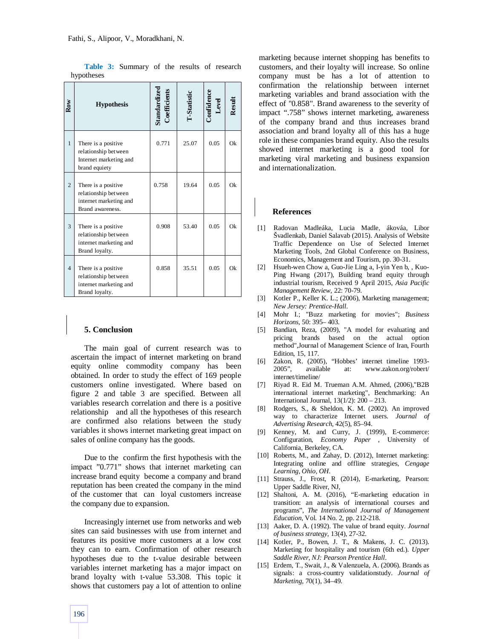| Row            | <b>Hypothesis</b>                                                                         | Standardized<br>Coefficients | <b>I-Statisti</b> | Confidence<br>Level | Resul |
|----------------|-------------------------------------------------------------------------------------------|------------------------------|-------------------|---------------------|-------|
| $\mathbf{1}$   | There is a positive<br>relationship between<br>Internet marketing and<br>brand equiety    | 0.771                        | 25.07             | 0.05                | Ok    |
| $\overline{2}$ | There is a positive<br>relationship between<br>internet marketing and<br>Brand awareness. | 0.758                        | 19.64             | 0.05                | Ok    |
| 3              | There is a positive<br>relationship between<br>internet marketing and<br>Brand loyalty.   | 0.908                        | 53.40             | 0.05                | Qk    |
| $\overline{4}$ | There is a positive<br>relationship between<br>internet marketing and<br>Brand loyalty.   | 0.858                        | 35.51             | 0.05                | Ok    |

**Table 3:** Summary of the results of research hypotheses

#### **5. Conclusion**

The main goal of current research was to ascertain the impact of internet marketing on brand equity online commodity company has been obtained. In order to study the effect of 169 people customers online investigated. Where based on figure 2 and table 3 are specified. Between all variables research correlation and there is a positive relationship and all the hypotheses of this research are confirmed also relations between the study variables it shows internet marketing great impact on sales of online company has the goods.

Due to the confirm the first hypothesis with the impact "0.771" shows that internet marketing can increase brand equity become a company and brand reputation has been created the company in the mind of the customer that can loyal customers increase the company due to expansion.

Increasingly internet use from networks and web sites can said businesses with use from internet and features its positive more customers at a low cost they can to earn. Confirmation of other research hypotheses due to the t-value desirable between variables internet marketing has a major impact on brand loyalty with t-value 53.308. This topic it shows that customers pay a lot of attention to online marketing because internet shopping has benefits to customers, and their loyalty will increase. So online company must be has a lot of attention to confirmation the relationship between internet marketing variables and brand association with the effect of "0.858". Brand awareness to the severity of impact ".758" shows internet marketing, awareness of the company brand and thus increases brand association and brand loyalty all of this has a huge role in these companies brand equity. Also the results showed internet marketing is a good tool for marketing viral marketing and business expansion and internationalization.

#### **References**

- [1] Radovan Madleáka, Lucia Madle, ákováa, Libor Švadlenkab, Daniel Salavab (2015). Analysis of Website Traffic Dependence on Use of Selected Internet Marketing Tools, 2nd Global Conference on Business, Economics, Management and Tourism, pp. 30-31.
- [2] Hsueh-wen Chow a, Guo-Jie Ling a, I-yin Yen b, , Kuo-Ping Hwang (2017), Building brand equity through industrial tourism, Received 9 April 2015, *Asia Pacific Management Review,* 22: 70-79.
- [3] Kotler P., Keller K. L.; (2006), Marketing management; *New Jersey: Prentice-Hall*.
- [4] Mohr I.; "Buzz marketing for movies"; *Business Horizons*, 50: 395– 403.
- [5] Bandian, Reza, (2009), "A model for evaluating and pricing brands based on the actual option method",Journal of Management Science of Iran, Fourth Edition, 15, 117.
- [6] Zakon, R. (2005), "Hobbes' internet timeline 1993- 2005", available at: www.zakon.org/robert/ internet/timeline/
- [7] Riyad R. Eid M. Trueman A.M. Ahmed, (2006),"B2B international internet marketing", Benchmarking: An International Journal, 13(1/2): 200 – 213.
- [8] Rodgers, S., & Sheldon, K. M. (2002). An improved way to characterize Internet users. *Journal of Advertising Research*, 42(5), 85–94.
- [9] Kenney, M. and Curry, J. (1999), E-commerce: Configuration, *Economy Paper* , University of California, Berkeley, CA.
- [10] Roberts, M., and Zahay, D. (2012), Internet marketing: Integrating online and offline strategies, *Cengage Learning, Ohio, OH*.
- [11] Strauss, J., Frost, R (2014), E-marketing, Pearson: Upper Saddle River, NJ,
- [12] Shaltoni, A. M. (2016), "E-marketing education in transition: an analysis of international courses and programs", *The International Journal of Management Education*, Vol. 14 No. 2, pp. 212-218.
- [13] Aaker, D. A. (1992). The value of brand equity. *Journal of business strategy*, 13(4), 27-32.
- [14] Kotler, P., Bowen, J. T., & Makens, J. C. (2013). Marketing for hospitality and tourism (6th ed.). *Upper Saddle River, NJ: Pearson Prentice Hall*.
- [15] Erdem, T., Swait, J., & Valenzuela, A. (2006). Brands as signals: a cross-country validationstudy. *Journal of Marketing*, 70(1), 34–49.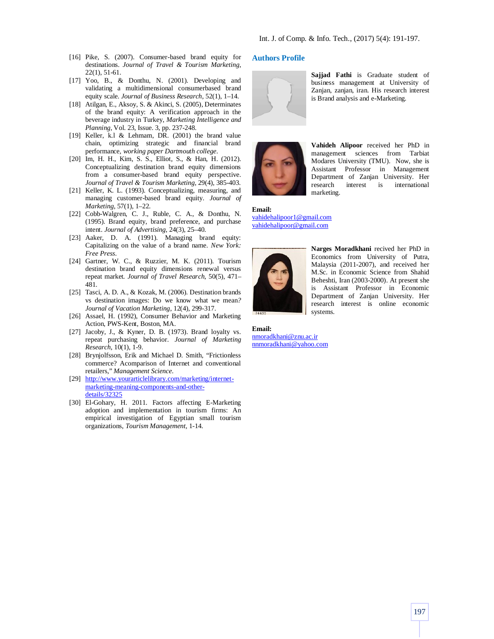- [16] Pike, S. (2007). Consumer-based brand equity for destinations. *Journal of Travel & Tourism Marketing*, 22(1), 51-61.
- [17] Yoo, B., & Donthu, N. (2001). Developing and validating a multidimensional consumerbased brand equity scale. *Journal of Business Research*, 52(1), 1–14.
- [18] Atilgan, E., Aksoy, S. & Akinci, S. (2005), Determinates of the brand equity: A verification approach in the beverage industry in Turkey, *Marketing Intelligence and Planning*, Vol. 23, Issue. 3, pp. 237-248.
- [19] Keller, k.l & Lehmam, DR. (2001) the brand value chain, optimizing strategic and financial brand performance, *working paper Dartmouth college*.
- [20] Im, H. H., Kim, S. S., Elliot, S., & Han, H. (2012). Conceptualizing destination brand equity dimensions from a consumer-based brand equity perspective. *Journal of Travel & Tourism Marketing*, 29(4), 385-403.
- [21] Keller, K. L. (1993). Conceptualizing, measuring, and managing customer-based brand equity. *Journal of Marketing*, 57(1), 1–22.
- [22] Cobb-Walgren, C. J., Ruble, C. A., & Donthu, N. (1995). Brand equity, brand preference, and purchase intent. *Journal of Advertising*, 24(3), 25–40.
- [23] Aaker, D. A. (1991). Managing brand equity: Capitalizing on the value of a brand name. *New York: Free Press*.
- [24] Gartner, W. C., & Ruzzier, M. K. (2011). Tourism destination brand equity dimensions renewal versus repeat market. *Journal of Travel Research*, 50(5), 471– 481.
- [25] Tasci, A. D. A., & Kozak, M. (2006). Destination brands vs destination images: Do we know what we mean*? Journal of Vacation Marketing*, 12(4), 299-317.
- [26] Assael, H. (1992), Consumer Behavior and Marketing Action, PWS-Kent, Boston, MA.
- [27] Jacoby, J., & Kyner, D. B. (1973). Brand loyalty vs. repeat purchasing behavior. *Journal of Marketing Research*, 10(1), 1-9.
- [28] Brynjolfsson, Erik and Michael D. Smith, "Frictionless commerce? Acomparison of Internet and conventional retailers," *Management Science*.
- [29] http://www.yourarticlelibrary.com/marketing/internetmarketing-meaning-components-and-otherdetails/32325
- [30] El-Gohary, H. 2011. Factors affecting E-Marketing adoption and implementation in tourism firms: An empirical investigation of Egyptian small tourism organizations, *Tourism Management*, 1-14.

#### **Authors Profile**



**Sajjad Fathi** is Graduate student of business management at University of Zanjan, zanjan, iran. His research interest is Brand analysis and e-Marketing.



**Vahideh Alipoor** received her PhD in management sciences from Tarbiat Modares University (TMU). Now, she is Assistant Professor in Management Department of Zanjan University. Her interest is marketing.

#### **Email:** vahidehalipoor1@gmail.com vahidehalipoor@gmail.com



**Narges Moradkhani** recived her PhD in Economics from University of Putra, Malaysia (2011-2007), and received her M.Sc. in Economic Science from Shahid Beheshti, Iran (2003-2000). At present she is Assistant Professor in Economic Department of Zanjan University. Her research interest is online economic systems.

**Email:** nmoradkhani@znu.ac.ir nnmoradkhani@yahoo.com